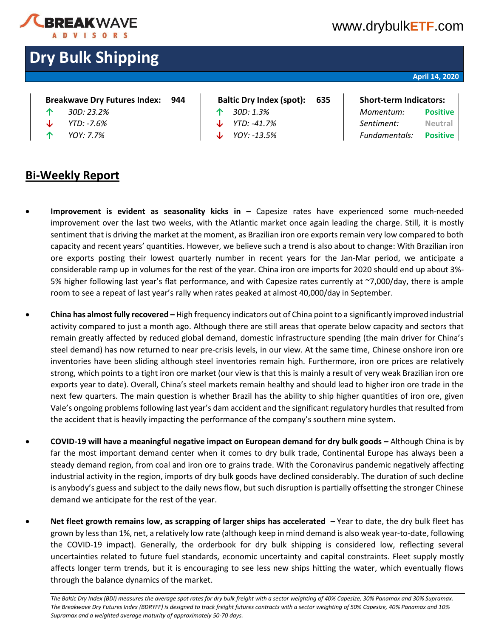

### [www.drybulk](http://www.drybulketf.com/)**ETF**.com

## **Dry Bulk Shipping**

### **April 14, 2020**

|   | Breakwave Dry Futures Index: 944 |  |
|---|----------------------------------|--|
| ⋏ | 200.22.20                        |  |

- 
- 
- **Baltic Dry Index (spot): 635 | Short-term Indicators: ↑** *30D: 23.2%* **↑** *30D: 1.3% Momentum:* **Positive**
	-

# **↓** *YTD: -7.6%* **↓** *YTD: -41.7% Sentiment:* **Neutral ↑** *YOY: 7.7%* **↓** *YOY: -13.5% Fundamentals:* **Positive**

- **Bi-Weekly Report**
- **Improvement is evident as seasonality kicks in –** Capesize rates have experienced some much-needed improvement over the last two weeks, with the Atlantic market once again leading the charge. Still, it is mostly sentiment that is driving the market at the moment, as Brazilian iron ore exports remain very low compared to both capacity and recent years' quantities. However, we believe such a trend is also about to change: With Brazilian iron ore exports posting their lowest quarterly number in recent years for the Jan-Mar period, we anticipate a considerable ramp up in volumes for the rest of the year. China iron ore imports for 2020 should end up about 3%- 5% higher following last year's flat performance, and with Capesize rates currently at ~7,000/day, there is ample room to see a repeat of last year's rally when rates peaked at almost 40,000/day in September.
- **China has almost fully recovered –** High frequency indicators out of China point to a significantly improved industrial activity compared to just a month ago. Although there are still areas that operate below capacity and sectors that remain greatly affected by reduced global demand, domestic infrastructure spending (the main driver for China's steel demand) has now returned to near pre-crisis levels, in our view. At the same time, Chinese onshore iron ore inventories have been sliding although steel inventories remain high. Furthermore, iron ore prices are relatively strong, which points to a tight iron ore market (our view is that this is mainly a result of very weak Brazilian iron ore exports year to date). Overall, China's steel markets remain healthy and should lead to higher iron ore trade in the next few quarters. The main question is whether Brazil has the ability to ship higher quantities of iron ore, given Vale's ongoing problems following last year's dam accident and the significant regulatory hurdles that resulted from the accident that is heavily impacting the performance of the company's southern mine system.
- **COVID-19 will have a meaningful negative impact on European demand for dry bulk goods –** Although China is by far the most important demand center when it comes to dry bulk trade, Continental Europe has always been a steady demand region, from coal and iron ore to grains trade. With the Coronavirus pandemic negatively affecting industrial activity in the region, imports of dry bulk goods have declined considerably. The duration of such decline is anybody's guess and subject to the daily news flow, but such disruption is partially offsetting the stronger Chinese demand we anticipate for the rest of the year.
- **Net fleet growth remains low, as scrapping of larger ships has accelerated –** Year to date, the dry bulk fleet has grown by less than 1%, net, a relatively low rate (although keep in mind demand is also weak year-to-date, following the COVID-19 impact). Generally, the orderbook for dry bulk shipping is considered low, reflecting several uncertainties related to future fuel standards, economic uncertainty and capital constraints. Fleet supply mostly affects longer term trends, but it is encouraging to see less new ships hitting the water, which eventually flows through the balance dynamics of the market.

The Baltic Dry Index (BDI) measures the average spot rates for dry bulk freight with a sector weighting of 40% Capesize, 30% Panamax and 30% Supramax. *The Breakwave Dry Futures Index (BDRYFF) is designed to track freight futures contracts with a sector weighting of 50% Capesize, 40% Panamax and 10% Supramax and a weighted average maturity of approximately 50-70 days.*